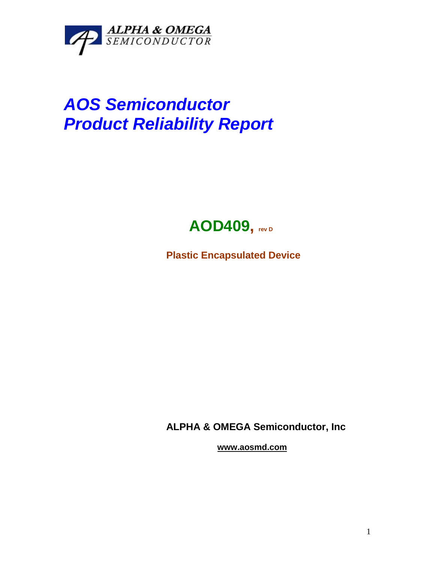

# *AOS Semiconductor Product Reliability Report*



**Plastic Encapsulated Device**

**ALPHA & OMEGA Semiconductor, Inc**

**www.aosmd.com**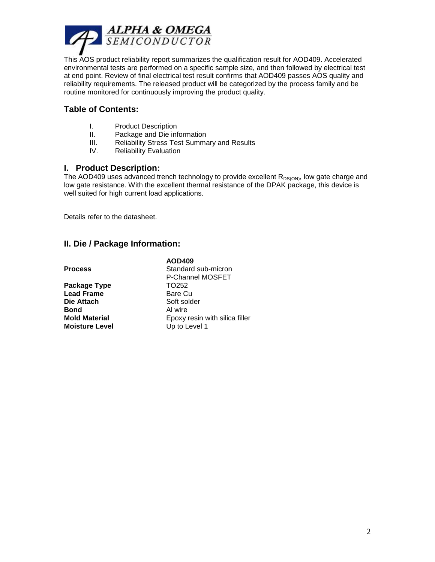

This AOS product reliability report summarizes the qualification result for AOD409. Accelerated environmental tests are performed on a specific sample size, and then followed by electrical test at end point. Review of final electrical test result confirms that AOD409 passes AOS quality and reliability requirements. The released product will be categorized by the process family and be routine monitored for continuously improving the product quality.

## **Table of Contents:**

- I. Product Description
- II. Package and Die information
- III. Reliability Stress Test Summary and Results
- IV. Reliability Evaluation

#### **I. Product Description:**

The AOD409 uses advanced trench technology to provide excellent  $R_{DS(ON)}$ , low gate charge and low gate resistance. With the excellent thermal resistance of the DPAK package, this device is well suited for high current load applications.

silica filler

Details refer to the datasheet.

### **II. Die / Package Information:**

|                       | AOD409                  |
|-----------------------|-------------------------|
| <b>Process</b>        | Standard sub-micron     |
|                       | P-Channel MOSFET        |
| Package Type          | TO <sub>252</sub>       |
| <b>Lead Frame</b>     | Bare Cu                 |
| Die Attach            | Soft solder             |
| Bond                  | Al wire                 |
| <b>Mold Material</b>  | Epoxy resin with silica |
| <b>Moisture Level</b> | Up to Level 1           |
|                       |                         |